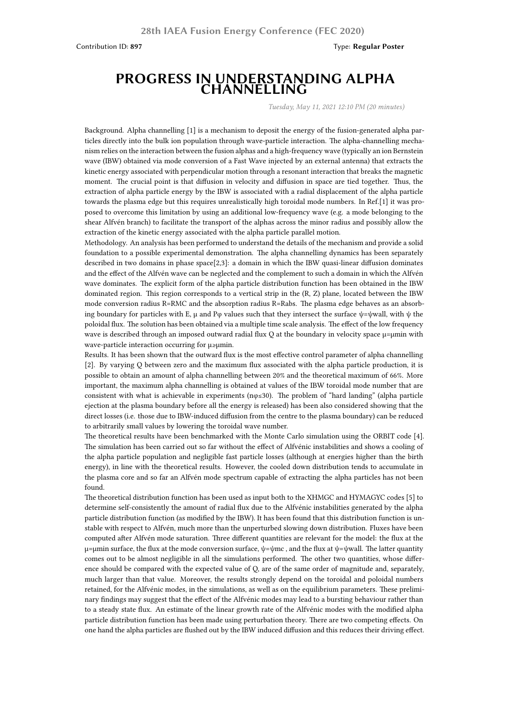## **PROGRESS IN UNDERSTANDING ALPHA CHANNELLING**

*Tuesday, May 11, 2021 12:10 PM (20 minutes)*

Background. Alpha channelling [1] is a mechanism to deposit the energy of the fusion-generated alpha particles directly into the bulk ion population through wave-particle interaction. The alpha-channelling mechanism relies on the interaction between the fusion alphas and a high-frequency wave (typically an ion Bernstein wave (IBW) obtained via mode conversion of a Fast Wave injected by an external antenna) that extracts the kinetic energy associated with perpendicular motion through a resonant interaction that breaks the magnetic moment. The crucial point is that diffusion in velocity and diffusion in space are tied together. Thus, the extraction of alpha particle energy by the IBW is associated with a radial displacement of the alpha particle towards the plasma edge but this requires unrealistically high toroidal mode numbers. In Ref.[1] it was proposed to overcome this limitation by using an additional low-frequency wave (e.g. a mode belonging to the shear Alfvén branch) to facilitate the transport of the alphas across the minor radius and possibly allow the extraction of the kinetic energy associated with the alpha particle parallel motion.

Methodology. An analysis has been performed to understand the details of the mechanism and provide a solid foundation to a possible experimental demonstration. The alpha channelling dynamics has been separately described in two domains in phase space[2,3]: a domain in which the IBW quasi-linear diffusion dominates and the effect of the Alfvén wave can be neglected and the complement to such a domain in which the Alfvén wave dominates. The explicit form of the alpha particle distribution function has been obtained in the IBW dominated region. This region corresponds to a vertical strip in the (R, Z) plane, located between the IBW mode conversion radius R=RMC and the absorption radius R=Rabs. The plasma edge behaves as an absorbing boundary for particles with E, µ and P<sub>φ</sub> values such that they intersect the surface  $\psi = \psi$  wall, with  $\psi$  the poloidal flux. The solution has been obtained via a multiple time scale analysis. The effect of the low frequency wave is described through an imposed outward radial flux  $Q$  at the boundary in velocity space  $\mu$ = $\mu$ min with wave-particle interaction occurring for µ≥µmin.

Results. It has been shown that the outward flux is the most effective control parameter of alpha channelling [2]. By varying Q between zero and the maximum flux associated with the alpha particle production, it is possible to obtain an amount of alpha channelling between 20% and the theoretical maximum of 66%. More important, the maximum alpha channelling is obtained at values of the IBW toroidal mode number that are consistent with what is achievable in experiments (nφ≤30). The problem of "hard landing" (alpha particle ejection at the plasma boundary before all the energy is released) has been also considered showing that the direct losses (i.e. those due to IBW-induced diffusion from the centre to the plasma boundary) can be reduced to arbitrarily small values by lowering the toroidal wave number.

The theoretical results have been benchmarked with the Monte Carlo simulation using the ORBIT code [4]. The simulation has been carried out so far without the effect of Alfvénic instabilities and shows a cooling of the alpha particle population and negligible fast particle losses (although at energies higher than the birth energy), in line with the theoretical results. However, the cooled down distribution tends to accumulate in the plasma core and so far an Alfvén mode spectrum capable of extracting the alpha particles has not been found.

The theoretical distribution function has been used as input both to the XHMGC and HYMAGYC codes [5] to determine self-consistently the amount of radial flux due to the Alfvénic instabilities generated by the alpha particle distribution function (as modified by the IBW). It has been found that this distribution function is unstable with respect to Alfvén, much more than the unperturbed slowing down distribution. Fluxes have been computed after Alfvén mode saturation. Three different quantities are relevant for the model: the flux at the  $\mu$ = $\mu$ min surface, the flux at the mode conversion surface,  $\psi$ = $\psi$ mc, and the flux at  $\psi$ = $\psi$ wall. The latter quantity comes out to be almost negligible in all the simulations performed. The other two quantities, whose difference should be compared with the expected value of Q, are of the same order of magnitude and, separately, much larger than that value. Moreover, the results strongly depend on the toroidal and poloidal numbers retained, for the Alfvénic modes, in the simulations, as well as on the equilibrium parameters. These preliminary findings may suggest that the effect of the Alfvénic modes may lead to a bursting behaviour rather than to a steady state flux. An estimate of the linear growth rate of the Alfvénic modes with the modified alpha particle distribution function has been made using perturbation theory. There are two competing effects. On one hand the alpha particles are flushed out by the IBW induced diffusion and this reduces their driving effect.